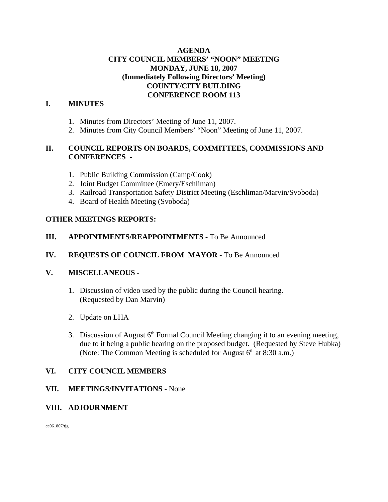# **AGENDA CITY COUNCIL MEMBERS' "NOON" MEETING MONDAY, JUNE 18, 2007 (Immediately Following Directors' Meeting) COUNTY/CITY BUILDING CONFERENCE ROOM 113**

### **I. MINUTES**

- 1. Minutes from Directors' Meeting of June 11, 2007.
- 2. Minutes from City Council Members' "Noon" Meeting of June 11, 2007.

### **II. COUNCIL REPORTS ON BOARDS, COMMITTEES, COMMISSIONS AND CONFERENCES -**

- 1. Public Building Commission (Camp/Cook)
- 2. Joint Budget Committee (Emery/Eschliman)
- 3. Railroad Transportation Safety District Meeting (Eschliman/Marvin/Svoboda)
- 4. Board of Health Meeting (Svoboda)

### **OTHER MEETINGS REPORTS:**

### **III.** APPOINTMENTS/REAPPOINTMENTS - To Be Announced

### **IV. REQUESTS OF COUNCIL FROM MAYOR -** To Be Announced

### **V. MISCELLANEOUS -**

- 1. Discussion of video used by the public during the Council hearing. (Requested by Dan Marvin)
- 2. Update on LHA
- 3. Discussion of August  $6<sup>th</sup>$  Formal Council Meeting changing it to an evening meeting, due to it being a public hearing on the proposed budget. (Requested by Steve Hubka) (Note: The Common Meeting is scheduled for August  $6<sup>th</sup>$  at 8:30 a.m.)

# **VI. CITY COUNCIL MEMBERS**

**VII. MEETINGS/INVITATIONS** - None

# **VIII. ADJOURNMENT**

ca061807/tjg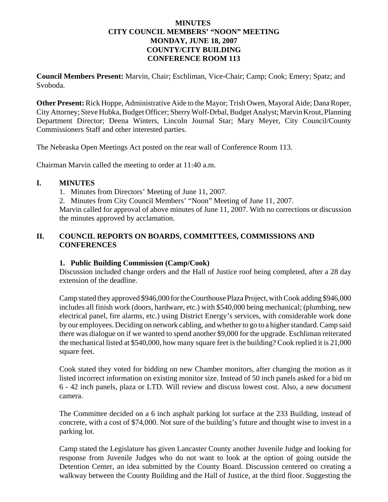# **MINUTES CITY COUNCIL MEMBERS' "NOON" MEETING MONDAY, JUNE 18, 2007 COUNTY/CITY BUILDING CONFERENCE ROOM 113**

**Council Members Present:** Marvin, Chair; Eschliman, Vice-Chair; Camp; Cook; Emery; Spatz; and Svoboda.

**Other Present:** Rick Hoppe, Administrative Aide to the Mayor; Trish Owen, Mayoral Aide; Dana Roper, City Attorney; Steve Hubka, Budget Officer; Sherry Wolf-Drbal, Budget Analyst; Marvin Krout, Planning Department Director; Deena Winters, Lincoln Journal Star; Mary Meyer, City Council/County Commissioners Staff and other interested parties.

The Nebraska Open Meetings Act posted on the rear wall of Conference Room 113.

Chairman Marvin called the meeting to order at 11:40 a.m.

#### **I. MINUTES**

- 1. Minutes from Directors' Meeting of June 11, 2007.
- 2. Minutes from City Council Members' "Noon" Meeting of June 11, 2007.

Marvin called for approval of above minutes of June 11, 2007. With no corrections or discussion the minutes approved by acclamation.

# **II. COUNCIL REPORTS ON BOARDS, COMMITTEES, COMMISSIONS AND CONFERENCES**

#### **1. Public Building Commission (Camp/Cook)**

Discussion included change orders and the Hall of Justice roof being completed, after a 28 day extension of the deadline.

Camp stated they approved \$946,000 for the Courthouse Plaza Project, with Cook adding \$946,000 includes all finish work (doors, hardware, etc.) with \$540,000 being mechanical; (plumbing, new electrical panel, fire alarms, etc.) using District Energy's services, with considerable work done by our employees. Deciding on network cabling, and whether to go to a higher standard. Camp said there was dialogue on if we wanted to spend another \$9,000 for the upgrade. Eschliman reiterated the mechanical listed at \$540,000, how many square feet is the building? Cook replied it is 21,000 square feet.

Cook stated they voted for bidding on new Chamber monitors, after changing the motion as it listed incorrect information on existing monitor size. Instead of 50 inch panels asked for a bid on 6 - 42 inch panels, plaza or LTD. Will review and discuss lowest cost. Also, a new document camera.

The Committee decided on a 6 inch asphalt parking lot surface at the 233 Building, instead of concrete, with a cost of \$74,000. Not sure of the building's future and thought wise to invest in a parking lot.

Camp stated the Legislature has given Lancaster County another Juvenile Judge and looking for response from Juvenile Judges who do not want to look at the option of going outside the Detention Center, an idea submitted by the County Board. Discussion centered on creating a walkway between the County Building and the Hall of Justice, at the third floor. Suggesting the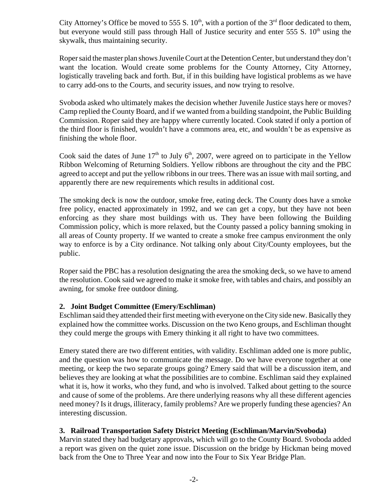City Attorney's Office be moved to 555 S.  $10^{th}$ , with a portion of the 3<sup>rd</sup> floor dedicated to them, but everyone would still pass through Hall of Justice security and enter  $555 S$ .  $10<sup>th</sup>$  using the skywalk, thus maintaining security.

Roper said the master plan shows Juvenile Court at the Detention Center, but understand they don't want the location. Would create some problems for the County Attorney, City Attorney, logistically traveling back and forth. But, if in this building have logistical problems as we have to carry add-ons to the Courts, and security issues, and now trying to resolve.

Svoboda asked who ultimately makes the decision whether Juvenile Justice stays here or moves? Camp replied the County Board, and if we wanted from a building standpoint, the Public Building Commission. Roper said they are happy where currently located. Cook stated if only a portion of the third floor is finished, wouldn't have a commons area, etc, and wouldn't be as expensive as finishing the whole floor.

Cook said the dates of June  $17<sup>th</sup>$  to July 6<sup>th</sup>, 2007, were agreed on to participate in the Yellow Ribbon Welcoming of Returning Soldiers. Yellow ribbons are throughout the city and the PBC agreed to accept and put the yellow ribbons in our trees. There was an issue with mail sorting, and apparently there are new requirements which results in additional cost.

The smoking deck is now the outdoor, smoke free, eating deck. The County does have a smoke free policy, enacted approximately in 1992, and we can get a copy, but they have not been enforcing as they share most buildings with us. They have been following the Building Commission policy, which is more relaxed, but the County passed a policy banning smoking in all areas of County property. If we wanted to create a smoke free campus environment the only way to enforce is by a City ordinance. Not talking only about City/County employees, but the public.

Roper said the PBC has a resolution designating the area the smoking deck, so we have to amend the resolution. Cook said we agreed to make it smoke free, with tables and chairs, and possibly an awning, for smoke free outdoor dining.

# **2. Joint Budget Committee (Emery/Eschliman)**

Eschliman said they attended their first meeting with everyone on the City side new. Basically they explained how the committee works. Discussion on the two Keno groups, and Eschliman thought they could merge the groups with Emery thinking it all right to have two committees.

Emery stated there are two different entities, with validity. Eschliman added one is more public, and the question was how to communicate the message. Do we have everyone together at one meeting, or keep the two separate groups going? Emery said that will be a discussion item, and believes they are looking at what the possibilities are to combine. Eschliman said they explained what it is, how it works, who they fund, and who is involved. Talked about getting to the source and cause of some of the problems. Are there underlying reasons why all these different agencies need money? Is it drugs, illiteracy, family problems? Are we properly funding these agencies? An interesting discussion.

# **3. Railroad Transportation Safety District Meeting (Eschliman/Marvin/Svoboda)**

Marvin stated they had budgetary approvals, which will go to the County Board. Svoboda added a report was given on the quiet zone issue. Discussion on the bridge by Hickman being moved back from the One to Three Year and now into the Four to Six Year Bridge Plan.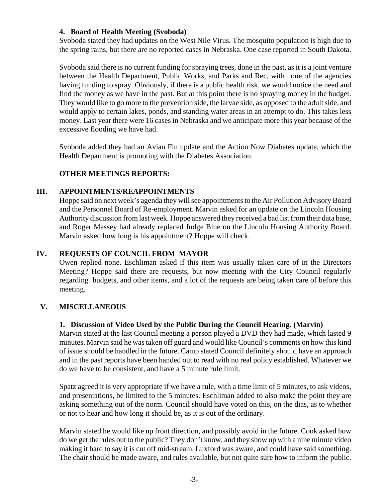# **4. Board of Health Meeting (Svoboda)**

Svoboda stated they had updates on the West Nile Virus. The mosquito population is high due to the spring rains, but there are no reported cases in Nebraska. One case reported in South Dakota.

Svoboda said there is no current funding for spraying trees, done in the past, as it is a joint venture between the Health Department, Public Works, and Parks and Rec, with none of the agencies having funding to spray. Obviously, if there is a public health risk, we would notice the need and find the money as we have in the past. But at this point there is no spraying money in the budget. They would like to go more to the prevention side, the larvae side, as opposed to the adult side, and would apply to certain lakes, ponds, and standing water areas in an attempt to do. This takes less money. Last year there were 16 cases in Nebraska and we anticipate more this year because of the excessive flooding we have had.

Svoboda added they had an Avian Flu update and the Action Now Diabetes update, which the Health Department is promoting with the Diabetes Association.

# **OTHER MEETINGS REPORTS:**

### **III. APPOINTMENTS/REAPPOINTMENTS**

Hoppe said on next week's agenda they will see appointments to the Air Pollution Advisory Board and the Personnel Board of Re-employment. Marvin asked for an update on the Lincoln Housing Authority discussion from last week. Hoppe answered they received a bad list from their data base, and Roger Massey had already replaced Judge Blue on the Lincoln Housing Authority Board. Marvin asked how long is his appointment? Hoppe will check.

### **IV. REQUESTS OF COUNCIL FROM MAYOR**

Owen replied none. Eschliman asked if this item was usually taken care of in the Directors Meeting? Hoppe said there are requests, but now meeting with the City Council regularly regarding budgets, and other items, and a lot of the requests are being taken care of before this meeting.

# **V. MISCELLANEOUS**

# **1. Discussion of Video Used by the Public During the Council Hearing. (Marvin)**

Marvin stated at the last Council meeting a person played a DVD they had made, which lasted 9 minutes. Marvin said he was taken off guard and would like Council's comments on how this kind of issue should be handled in the future. Camp stated Council definitely should have an approach and in the past reports have been handed out to read with no real policy established. Whatever we do we have to be consistent, and have a 5 minute rule limit.

Spatz agreed it is very appropriate if we have a rule, with a time limit of 5 minutes, to ask videos, and presentations, be limited to the 5 minutes. Eschliman added to also make the point they are asking something out of the norm. Council should have voted on this, on the dias, as to whether or not to hear and how long it should be, as it is out of the ordinary.

Marvin stated he would like up front direction, and possibly avoid in the future. Cook asked how do we get the rules out to the public? They don't know, and they show up with a nine minute video making it hard to say it is cut off mid-stream. Luxford was aware, and could have said something. The chair should be made aware, and rules available, but not quite sure how to inform the public.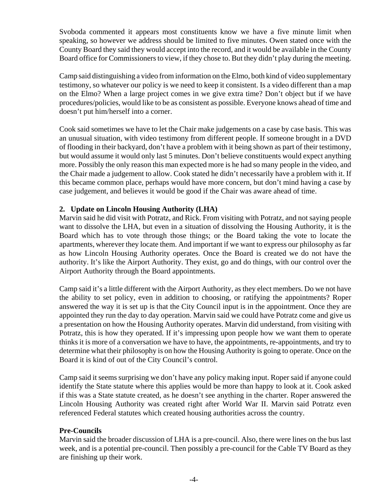Svoboda commented it appears most constituents know we have a five minute limit when speaking, so however we address should be limited to five minutes. Owen stated once with the County Board they said they would accept into the record, and it would be available in the County Board office for Commissioners to view, if they chose to. But they didn't play during the meeting.

Camp said distinguishing a video from information on the Elmo, both kind of video supplementary testimony, so whatever our policy is we need to keep it consistent. Is a video different than a map on the Elmo? When a large project comes in we give extra time? Don't object but if we have procedures/policies, would like to be as consistent as possible. Everyone knows ahead of time and doesn't put him/herself into a corner.

Cook said sometimes we have to let the Chair make judgements on a case by case basis. This was an unusual situation, with video testimony from different people. If someone brought in a DVD of flooding in their backyard, don't have a problem with it being shown as part of their testimony, but would assume it would only last 5 minutes. Don't believe constituents would expect anything more. Possibly the only reason this man expected more is he had so many people in the video, and the Chair made a judgement to allow. Cook stated he didn't necessarily have a problem with it. If this became common place, perhaps would have more concern, but don't mind having a case by case judgement, and believes it would be good if the Chair was aware ahead of time.

# **2. Update on Lincoln Housing Authority (LHA)**

Marvin said he did visit with Potratz, and Rick. From visiting with Potratz, and not saying people want to dissolve the LHA, but even in a situation of dissolving the Housing Authority, it is the Board which has to vote through those things; or the Board taking the vote to locate the apartments, wherever they locate them. And important if we want to express our philosophy as far as how Lincoln Housing Authority operates. Once the Board is created we do not have the authority. It's like the Airport Authority. They exist, go and do things, with our control over the Airport Authority through the Board appointments.

Camp said it's a little different with the Airport Authority, as they elect members. Do we not have the ability to set policy, even in addition to choosing, or ratifying the appointments? Roper answered the way it is set up is that the City Council input is in the appointment. Once they are appointed they run the day to day operation. Marvin said we could have Potratz come and give us a presentation on how the Housing Authority operates. Marvin did understand, from visiting with Potratz, this is how they operated. If it's impressing upon people how we want them to operate thinks it is more of a conversation we have to have, the appointments, re-appointments, and try to determine what their philosophy is on how the Housing Authority is going to operate. Once on the Board it is kind of out of the City Council's control.

Camp said it seems surprising we don't have any policy making input. Roper said if anyone could identify the State statute where this applies would be more than happy to look at it. Cook asked if this was a State statute created, as he doesn't see anything in the charter. Roper answered the Lincoln Housing Authority was created right after World War II. Marvin said Potratz even referenced Federal statutes which created housing authorities across the country.

# **Pre-Councils**

Marvin said the broader discussion of LHA is a pre-council. Also, there were lines on the bus last week, and is a potential pre-council. Then possibly a pre-council for the Cable TV Board as they are finishing up their work.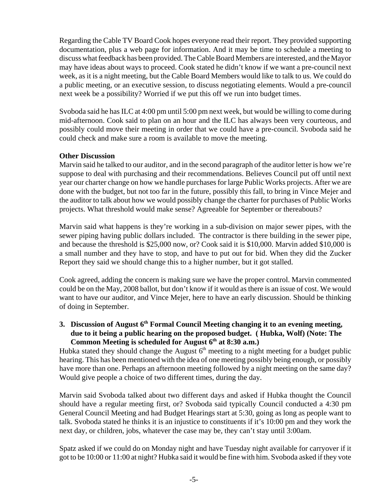Regarding the Cable TV Board Cook hopes everyone read their report. They provided supporting documentation, plus a web page for information. And it may be time to schedule a meeting to discuss what feedback has been provided. The Cable Board Members are interested, and the Mayor may have ideas about ways to proceed. Cook stated he didn't know if we want a pre-council next week, as it is a night meeting, but the Cable Board Members would like to talk to us. We could do a public meeting, or an executive session, to discuss negotiating elements. Would a pre-council next week be a possibility? Worried if we put this off we run into budget times.

Svoboda said he has ILC at 4:00 pm until 5:00 pm next week, but would be willing to come during mid-afternoon. Cook said to plan on an hour and the ILC has always been very courteous, and possibly could move their meeting in order that we could have a pre-council. Svoboda said he could check and make sure a room is available to move the meeting.

# **Other Discussion**

Marvin said he talked to our auditor, and in the second paragraph of the auditor letter is how we're suppose to deal with purchasing and their recommendations. Believes Council put off until next year our charter change on how we handle purchases for large Public Works projects. After we are done with the budget, but not too far in the future, possibly this fall, to bring in Vince Mejer and the auditor to talk about how we would possibly change the charter for purchases of Public Works projects. What threshold would make sense? Agreeable for September or thereabouts?

Marvin said what happens is they're working in a sub-division on major sewer pipes, with the sewer piping having public dollars included. The contractor is there building in the sewer pipe, and because the threshold is \$25,000 now, or? Cook said it is \$10,000. Marvin added \$10,000 is a small number and they have to stop, and have to put out for bid. When they did the Zucker Report they said we should change this to a higher number, but it got stalled.

Cook agreed, adding the concern is making sure we have the proper control. Marvin commented could be on the May, 2008 ballot, but don't know if it would as there is an issue of cost. We would want to have our auditor, and Vince Mejer, here to have an early discussion. Should be thinking of doing in September.

**3. Discussion of August 6<sup>th</sup> Formal Council Meeting changing it to an evening meeting, due to it being a public hearing on the proposed budget. ( Hubka, Wolf) (Note: The** Common Meeting is scheduled for August 6<sup>th</sup> at 8:30 a.m.)

Hubka stated they should change the August  $6<sup>th</sup>$  meeting to a night meeting for a budget public hearing. This has been mentioned with the idea of one meeting possibly being enough, or possibly have more than one. Perhaps an afternoon meeting followed by a night meeting on the same day? Would give people a choice of two different times, during the day.

Marvin said Svoboda talked about two different days and asked if Hubka thought the Council should have a regular meeting first, or? Svoboda said typically Council conducted a 4:30 pm General Council Meeting and had Budget Hearings start at 5:30, going as long as people want to talk. Svoboda stated he thinks it is an injustice to constituents if it's 10:00 pm and they work the next day, or children, jobs, whatever the case may be, they can't stay until 3:00am.

Spatz asked if we could do on Monday night and have Tuesday night available for carryover if it got to be 10:00 or 11:00 at night? Hubka said it would be fine with him. Svoboda asked if they vote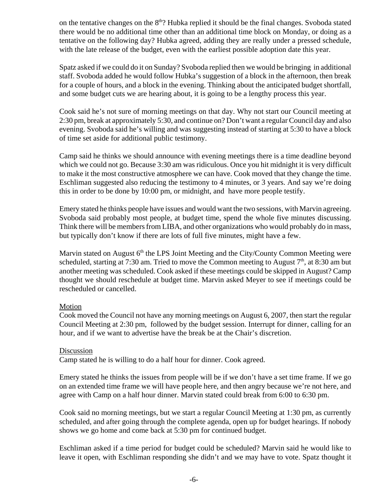on the tentative changes on the  $8<sup>th</sup>$ ? Hubka replied it should be the final changes. Svoboda stated there would be no additional time other than an additional time block on Monday, or doing as a tentative on the following day? Hubka agreed, adding they are really under a pressed schedule, with the late release of the budget, even with the earliest possible adoption date this year.

Spatz asked if we could do it on Sunday? Svoboda replied then we would be bringing in additional staff. Svoboda added he would follow Hubka's suggestion of a block in the afternoon, then break for a couple of hours, and a block in the evening. Thinking about the anticipated budget shortfall, and some budget cuts we are hearing about, it is going to be a lengthy process this year.

Cook said he's not sure of morning meetings on that day. Why not start our Council meeting at 2:30 pm, break at approximately 5:30, and continue on? Don't want a regular Council day and also evening. Svoboda said he's willing and was suggesting instead of starting at 5:30 to have a block of time set aside for additional public testimony.

Camp said he thinks we should announce with evening meetings there is a time deadline beyond which we could not go. Because 3:30 am was ridiculous. Once you hit midnight it is very difficult to make it the most constructive atmosphere we can have. Cook moved that they change the time. Eschliman suggested also reducing the testimony to 4 minutes, or 3 years. And say we're doing this in order to be done by 10:00 pm, or midnight, and have more people testify.

Emery stated he thinks people have issues and would want the two sessions, with Marvin agreeing. Svoboda said probably most people, at budget time, spend the whole five minutes discussing. Think there will be members from LIBA, and other organizations who would probably do in mass, but typically don't know if there are lots of full five minutes, might have a few.

Marvin stated on August 6<sup>th</sup> the LPS Joint Meeting and the City/County Common Meeting were scheduled, starting at 7:30 am. Tried to move the Common meeting to August  $7<sup>th</sup>$ , at 8:30 am but another meeting was scheduled. Cook asked if these meetings could be skipped in August? Camp thought we should reschedule at budget time. Marvin asked Meyer to see if meetings could be rescheduled or cancelled.

#### **Motion**

Cook moved the Council not have any morning meetings on August 6, 2007, then start the regular Council Meeting at 2:30 pm, followed by the budget session. Interrupt for dinner, calling for an hour, and if we want to advertise have the break be at the Chair's discretion.

#### Discussion

Camp stated he is willing to do a half hour for dinner. Cook agreed.

Emery stated he thinks the issues from people will be if we don't have a set time frame. If we go on an extended time frame we will have people here, and then angry because we're not here, and agree with Camp on a half hour dinner. Marvin stated could break from 6:00 to 6:30 pm.

Cook said no morning meetings, but we start a regular Council Meeting at 1:30 pm, as currently scheduled, and after going through the complete agenda, open up for budget hearings. If nobody shows we go home and come back at 5:30 pm for continued budget.

Eschliman asked if a time period for budget could be scheduled? Marvin said he would like to leave it open, with Eschliman responding she didn't and we may have to vote. Spatz thought it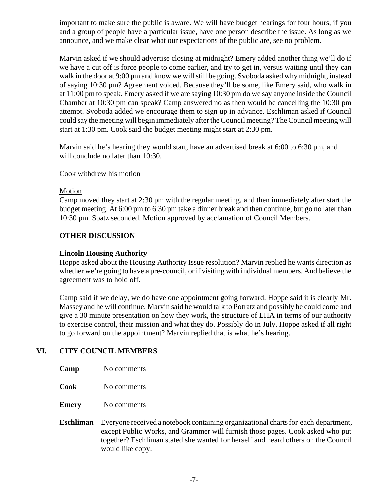important to make sure the public is aware. We will have budget hearings for four hours, if you and a group of people have a particular issue, have one person describe the issue. As long as we announce, and we make clear what our expectations of the public are, see no problem.

Marvin asked if we should advertise closing at midnight? Emery added another thing we'll do if we have a cut off is force people to come earlier, and try to get in, versus waiting until they can walk in the door at 9:00 pm and know we will still be going. Svoboda asked why midnight, instead of saying 10:30 pm? Agreement voiced. Because they'll be some, like Emery said, who walk in at 11:00 pm to speak. Emery asked if we are saying 10:30 pm do we say anyone inside the Council Chamber at 10:30 pm can speak? Camp answered no as then would be cancelling the 10:30 pm attempt. Svoboda added we encourage them to sign up in advance. Eschliman asked if Council could say the meeting will begin immediately after the Council meeting? The Council meeting will start at 1:30 pm. Cook said the budget meeting might start at 2:30 pm.

Marvin said he's hearing they would start, have an advertised break at 6:00 to 6:30 pm, and will conclude no later than 10:30.

#### Cook withdrew his motion

### Motion

Camp moved they start at 2:30 pm with the regular meeting, and then immediately after start the budget meeting. At 6:00 pm to 6:30 pm take a dinner break and then continue, but go no later than 10:30 pm. Spatz seconded. Motion approved by acclamation of Council Members.

# **OTHER DISCUSSION**

# **Lincoln Housing Authority**

Hoppe asked about the Housing Authority Issue resolution? Marvin replied he wants direction as whether we're going to have a pre-council, or if visiting with individual members. And believe the agreement was to hold off.

Camp said if we delay, we do have one appointment going forward. Hoppe said it is clearly Mr. Massey and he will continue. Marvin said he would talk to Potratz and possibly he could come and give a 30 minute presentation on how they work, the structure of LHA in terms of our authority to exercise control, their mission and what they do. Possibly do in July. Hoppe asked if all right to go forward on the appointment? Marvin replied that is what he's hearing.

# **VI. CITY COUNCIL MEMBERS**

- **Camp** No comments
- **Cook** No comments
- **Emery** No comments
- **Eschliman** Everyone received a notebook containing organizational charts for each department, except Public Works, and Grammer will furnish those pages. Cook asked who put together? Eschliman stated she wanted for herself and heard others on the Council would like copy.